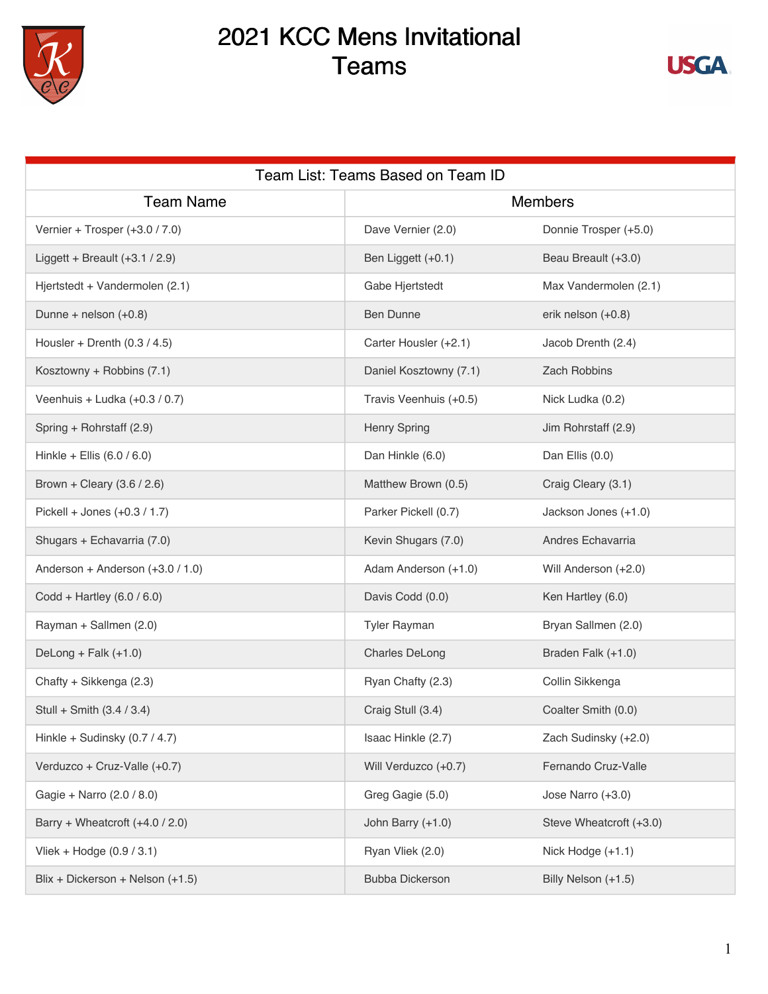

## 2021 KCC Mens Invitational Teams



| Team List: Teams Based on Team ID |                        |                         |  |
|-----------------------------------|------------------------|-------------------------|--|
| <b>Team Name</b>                  | <b>Members</b>         |                         |  |
| Vernier + Trosper (+3.0 / 7.0)    | Dave Vernier (2.0)     | Donnie Trosper (+5.0)   |  |
| Liggett + Breault $(+3.1 / 2.9)$  | Ben Liggett (+0.1)     | Beau Breault (+3.0)     |  |
| Hjertstedt + Vandermolen (2.1)    | Gabe Hjertstedt        | Max Vandermolen (2.1)   |  |
| Dunne + nelson $(+0.8)$           | <b>Ben Dunne</b>       | erik nelson (+0.8)      |  |
| Housler + Drenth $(0.3 / 4.5)$    | Carter Housler (+2.1)  | Jacob Drenth (2.4)      |  |
| Kosztowny + Robbins (7.1)         | Daniel Kosztowny (7.1) | Zach Robbins            |  |
| Veenhuis + Ludka (+0.3 / 0.7)     | Travis Veenhuis (+0.5) | Nick Ludka (0.2)        |  |
| Spring + Rohrstaff (2.9)          | <b>Henry Spring</b>    | Jim Rohrstaff (2.9)     |  |
| Hinkle + Ellis $(6.0 / 6.0)$      | Dan Hinkle (6.0)       | Dan Ellis (0.0)         |  |
| Brown + Cleary $(3.6 / 2.6)$      | Matthew Brown (0.5)    | Craig Cleary (3.1)      |  |
| Pickell + Jones (+0.3 / 1.7)      | Parker Pickell (0.7)   | Jackson Jones (+1.0)    |  |
| Shugars + Echavarria (7.0)        | Kevin Shugars (7.0)    | Andres Echavarria       |  |
| Anderson + Anderson (+3.0 / 1.0)  | Adam Anderson (+1.0)   | Will Anderson (+2.0)    |  |
| Codd + Hartley (6.0 / 6.0)        | Davis Codd (0.0)       | Ken Hartley (6.0)       |  |
| Rayman + Sallmen (2.0)            | <b>Tyler Rayman</b>    | Bryan Sallmen (2.0)     |  |
| DeLong + Falk $(+1.0)$            | <b>Charles DeLong</b>  | Braden Falk (+1.0)      |  |
| Chafty + Sikkenga (2.3)           | Ryan Chafty (2.3)      | Collin Sikkenga         |  |
| Stull + Smith (3.4 / 3.4)         | Craig Stull (3.4)      | Coalter Smith (0.0)     |  |
| Hinkle + Sudinsky (0.7 / 4.7)     | Isaac Hinkle (2.7)     | Zach Sudinsky (+2.0)    |  |
| Verduzco + Cruz-Valle (+0.7)      | Will Verduzco (+0.7)   | Fernando Cruz-Valle     |  |
| Gagie + Narro (2.0 / 8.0)         | Greg Gagie (5.0)       | Jose Narro (+3.0)       |  |
| Barry + Wheatcroft (+4.0 / 2.0)   | John Barry (+1.0)      | Steve Wheatcroft (+3.0) |  |
| Vliek + Hodge $(0.9 / 3.1)$       | Ryan Vliek (2.0)       | Nick Hodge (+1.1)       |  |
| Blix + Dickerson + Nelson (+1.5)  | <b>Bubba Dickerson</b> | Billy Nelson (+1.5)     |  |